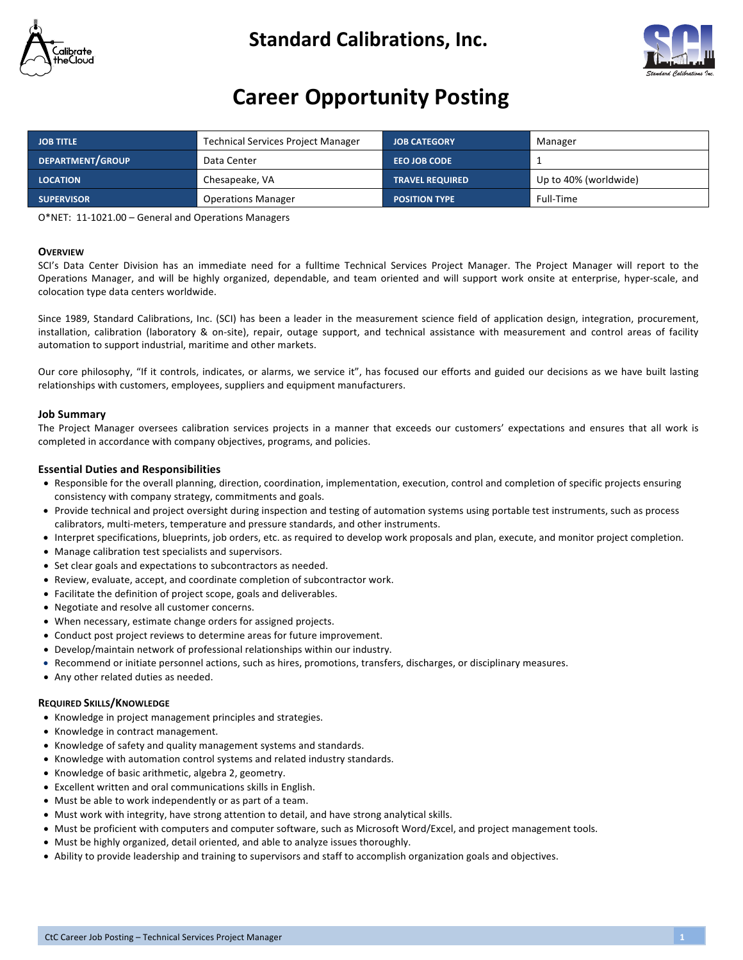

### **Standard Calibrations, Inc.**



## **Career Opportunity Posting**

| <b>JOB TITLE</b>  | <b>Technical Services Project Manager</b> | <b>JOB CATEGORY</b>    | Manager               |
|-------------------|-------------------------------------------|------------------------|-----------------------|
| DEPARTMENT/GROUP  | Data Center                               | <b>EEO JOB CODE</b>    |                       |
| <b>LOCATION</b>   | Chesapeake, VA                            | <b>TRAVEL REQUIRED</b> | Up to 40% (worldwide) |
| <b>SUPERVISOR</b> | <b>Operations Manager</b>                 | <b>POSITION TYPE</b>   | Full-Time             |

O\*NET: 11-1021.00 - General and Operations Managers

#### **OVERVIEW**

SCI's Data Center Division has an immediate need for a fulltime Technical Services Project Manager. The Project Manager will report to the Operations Manager, and will be highly organized, dependable, and team oriented and will support work onsite at enterprise, hyper-scale, and colocation type data centers worldwide.

Since 1989, Standard Calibrations, Inc. (SCI) has been a leader in the measurement science field of application design, integration, procurement, installation, calibration (laboratory & on-site), repair, outage support, and technical assistance with measurement and control areas of facility automation to support industrial, maritime and other markets.

Our core philosophy, "If it controls, indicates, or alarms, we service it", has focused our efforts and guided our decisions as we have built lasting relationships with customers, employees, suppliers and equipment manufacturers.

#### **Job Summary**

The Project Manager oversees calibration services projects in a manner that exceeds our customers' expectations and ensures that all work is completed in accordance with company objectives, programs, and policies.

#### **Essential Duties and Responsibilities**

- Responsible for the overall planning, direction, coordination, implementation, execution, control and completion of specific projects ensuring consistency with company strategy, commitments and goals.
- Provide technical and project oversight during inspection and testing of automation systems using portable test instruments, such as process calibrators, multi-meters, temperature and pressure standards, and other instruments.
- Interpret specifications, blueprints, job orders, etc. as required to develop work proposals and plan, execute, and monitor project completion.
- Manage calibration test specialists and supervisors.
- Set clear goals and expectations to subcontractors as needed.
- Review, evaluate, accept, and coordinate completion of subcontractor work.
- Facilitate the definition of project scope, goals and deliverables.
- Negotiate and resolve all customer concerns.
- When necessary, estimate change orders for assigned projects.
- Conduct post project reviews to determine areas for future improvement.
- Develop/maintain network of professional relationships within our industry.
- Recommend or initiate personnel actions, such as hires, promotions, transfers, discharges, or disciplinary measures.
- Any other related duties as needed.

#### **REQUIRED SKILLS/KNOWLEDGE**

- Knowledge in project management principles and strategies.
- Knowledge in contract management.
- Knowledge of safety and quality management systems and standards.
- Knowledge with automation control systems and related industry standards.
- Knowledge of basic arithmetic, algebra 2, geometry.
- Excellent written and oral communications skills in English.
- Must be able to work independently or as part of a team.
- Must work with integrity, have strong attention to detail, and have strong analytical skills.
- Must be proficient with computers and computer software, such as Microsoft Word/Excel, and project management tools.
- Must be highly organized, detail oriented, and able to analyze issues thoroughly.
- Ability to provide leadership and training to supervisors and staff to accomplish organization goals and objectives.